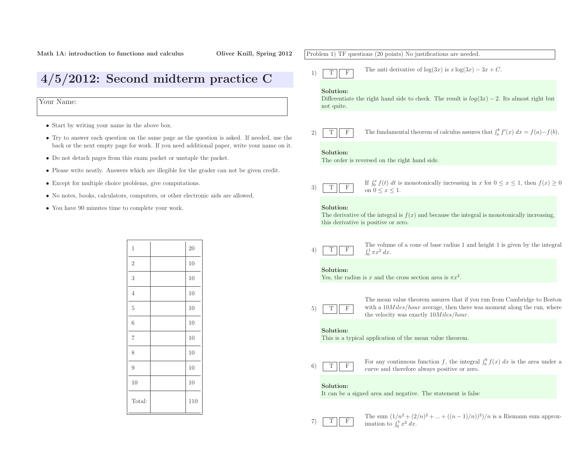4/5/2012: Second midterm practice <sup>C</sup>

Your Name:

- Start by writing your name in the above box.
- Try to answer each question on the same page as the question is asked. If needed, use the back or the next empty page for work. If you need additional paper, write your name on it.
- Do not detach pages from this exam packet or unstaple the packet.
- Please write neatly. Answers which are illegible for the grader can not be <sup>g</sup>iven credit.
- Except for multiple choice problems, <sup>g</sup>ive computations.
- No notes, books, calculators, computers, or other electronic aids are allowed.
- You have <sup>90</sup> minutes time to complete your work.

| $\mathbf 1$    | 20  |
|----------------|-----|
| $\overline{2}$ | 10  |
| 3              | 10  |
| $\overline{4}$ | 10  |
| $\overline{5}$ | 10  |
| 6              | 10  |
| $\overline{7}$ | 10  |
| 8              | 10  |
| $\overline{9}$ | 10  |
| 10             | 10  |
| Total:         | 110 |

# Problem 1) TF questions (20 points) No justifications are needed. 1)TFThe anti derivative of  $log(3x)$  is  $x log(3x) - 3x + C$ . Solution:Differentiate the right hand side to check. The result is  $log(3x) - 2$ . Its almost right but not quite. 2)TFF The fundamental theorem of calculus assures that  $\int_a^b f'(x) dx = f(a) - f(b)$ . Solution: The order is reversed on the right hand side. 3)TFIf  $\int_0^x f(t) dt$  is monotonically increasing in x for  $0 \le x \le 1$ , then  $f(x) \ge 0$ on  $0 \leq x \leq 1$ . Solution:The derivative of the integral is  $f(x)$  and because the integral is monotonically increasing, this derivative is positive or zero. 4)TF The volume of <sup>a</sup> cone of base radius <sup>1</sup> and height <sup>1</sup> is <sup>g</sup>iven by the integral  $\int_0^1 \pi x^2 dx$ . Solution:Yes, the radius is x and the cross section area is  $\pi x^2$ . 5)TFThe mean value theorem assures that if you run from Cambridge to Bostonwith a  $10Miles/hour$  average, then there was moment along the run, where the velocity was exactly  $10Miles/hour$ . Solution: This is <sup>a</sup> typical application of the mean value theorem. 6)T $\mathbf F$  $\overline{F}$  For any continuous function  $f$ , the integral curve and therefore always positive or zero.  $\int_a^b f(x) dx$  is the area under a Solution: It can be <sup>a</sup> signed area and negative. The statement is false 7)TFF The sum  $(1/n^2 + (2$ <br>imation to  $\int_0^1 x^2 dx$ .  $\frac{2^2 + (2/n)^2 + \ldots + ((n-1)/n))^2}{n}$  is a Riemann sum approx-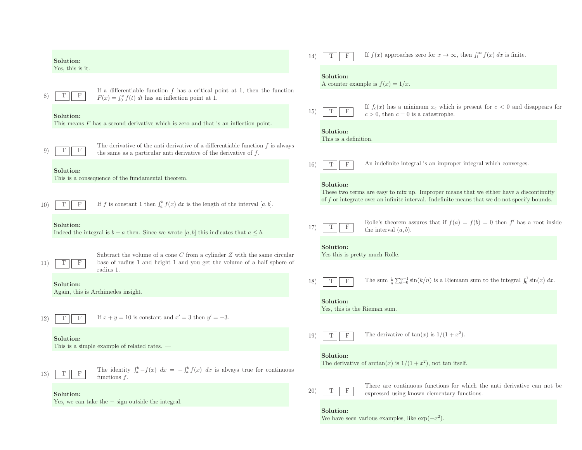|     | Solution:                      |                                                                                                                                                                           | 14)             | $\mathbf F$                               | If $f(x)$ approaches zero for $x \to \infty$ , then $\int_1^{\infty} f(x) dx$ is finite.                                                                                                 |
|-----|--------------------------------|---------------------------------------------------------------------------------------------------------------------------------------------------------------------------|-----------------|-------------------------------------------|------------------------------------------------------------------------------------------------------------------------------------------------------------------------------------------|
|     | Yes, this is it.               | If a differentiable function $f$ has a critical point at 1, then the function                                                                                             |                 | Solution:                                 | A counter example is $f(x) = 1/x$ .                                                                                                                                                      |
| 8)  | $\mathbf{F}$<br>Solution:      | $F(x) = \int_0^x f(t) dt$ has an inflection point at 1.                                                                                                                   | 15)             | $\mathbf F$<br>T                          | If $f_c(x)$ has a minimum $x_c$ which is present for $c < 0$ and disappears for<br>$c > 0$ , then $c = 0$ is a catastrophe.                                                              |
|     |                                | This means $F$ has a second derivative which is zero and that is an inflection point.<br>The derivative of the anti-derivative of a differentiable function $f$ is always |                 | Solution:<br>This is a definition.        |                                                                                                                                                                                          |
| 9)  | Т<br>$_{\rm F}$<br>Solution:   | the same as a particular anti-derivative of the derivative of $f$ .                                                                                                       | 16)             | Т<br>F                                    | An indefinite integral is an improper integral which converges.                                                                                                                          |
|     |                                | This is a consequence of the fundamental theorem.                                                                                                                         |                 | Solution:                                 | These two terms are easy to mix up. Improper means that we either have a discontinuity<br>of $f$ or integrate over an infinite interval. Indefinite means that we do not specify bounds. |
| 10) | $\mathbf{F}$<br>T<br>Solution: | If f is constant 1 then $\int_a^b f(x) dx$ is the length of the interval [a, b].                                                                                          |                 |                                           | Rolle's theorem assures that if $f(a) = f(b) = 0$ then f' has a root inside                                                                                                              |
|     |                                | Indeed the integral is $b - a$ then. Since we wrote [a, b] this indicates that $a \leq b$ .                                                                               | 17)             | $\mathbf F$<br>Т<br>Solution:             | the interval $(a, b)$ .                                                                                                                                                                  |
| 11) | Τ<br>F                         | Subtract the volume of a cone $C$ from a cylinder $Z$ with the same circular<br>base of radius 1 and height 1 and you get the volume of a half sphere of<br>radius 1.     |                 | Yes this is pretty much Rolle.            |                                                                                                                                                                                          |
|     | Solution:                      | Again, this is Archimedes insight.                                                                                                                                        | 18)             | $\mathbf{F}$                              | The sum $\frac{1}{n}\sum_{k=0}^{n-1}\sin(k/n)$ is a Riemann sum to the integral $\int_0^1\sin(x)\,dx$ .                                                                                  |
| 12) | F                              | If $x + y = 10$ is constant and $x' = 3$ then $y' = -3$ .                                                                                                                 |                 | Solution:<br>Yes, this is the Rieman sum. |                                                                                                                                                                                          |
|     | Solution:                      | This is a simple example of related rates. -                                                                                                                              | 19)             | $_{\rm F}$                                | The derivative of $tan(x)$ is $1/(1+x^2)$ .                                                                                                                                              |
| 13) | $\mathbf F$<br>T               | The identity $\int_a^b -f(x) dx = -\int_a^b f(x) dx$ is always true for continuous                                                                                        |                 | Solution:                                 | The derivative of $arctan(x)$ is $1/(1+x^2)$ , not tan itself.                                                                                                                           |
|     | Solution:                      | functions $f$ .                                                                                                                                                           | 20 <sup>°</sup> | $_{\rm F}$                                | There are continuous functions for which the anti-derivative can not be<br>expressed using known elementary functions.                                                                   |
|     |                                | Yes, we can take the $-$ sign outside the integral.                                                                                                                       |                 | Solution:                                 |                                                                                                                                                                                          |

We have seen various examples, like  $\exp(-x^2)$ .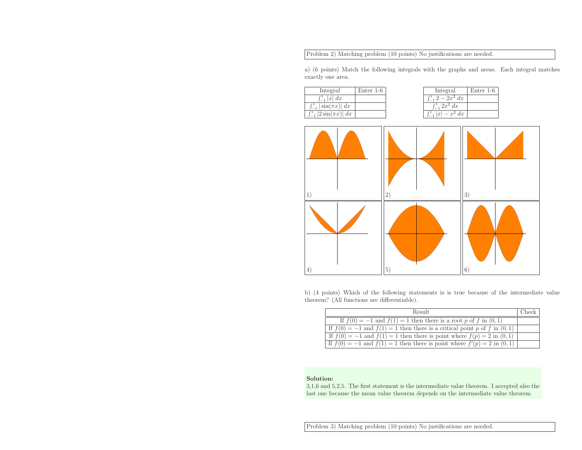Problem 2) Matching problem (10 points) No justifications are needed.

a) (6 points) Match the following integrals with the graphs and areas. Each integral matches exactly one area.

| Integral                          | Enter $1-6$ |
|-----------------------------------|-------------|
| $\int_{-1}^{1}  x  dx$            |             |
| $\int_{-1}^{1}  \sin(\pi x)  dx$  |             |
| $\int_{-1}^{1}  2\sin(\pi x)  dx$ |             |

| Integral            | Enter 1-6 |
|---------------------|-----------|
| $-2x^2 dx$          |           |
| $x^2$ dx            |           |
| dx<br>$\mathcal{X}$ |           |



b) (4 points) Which of the following statements is is true because of the intermediate value theorem? (All functions are differentiable).

| Result.                                                                         | Check |
|---------------------------------------------------------------------------------|-------|
| If $f(0) = -1$ and $f(1) = 1$ then there is a root p of f in $(0, 1)$           |       |
| If $f(0) = -1$ and $f(1) = 1$ then there is a critical point p of f in $(0, 1)$ |       |
| If $f(0) = -1$ and $f(1) = 1$ then there is point where $f(p) = 2$ in $(0, 1)$  |       |
| If $f(0) = -1$ and $f(1) = 1$ then there is point where $f'(p) = 2$ in $(0, 1)$ |       |

#### Solution:

 3,1,6 and 5,2,5. The first statement is the intermediate value theorem. <sup>I</sup> accepted also the last one because the mean value theorem depends on the intermediate value theorem.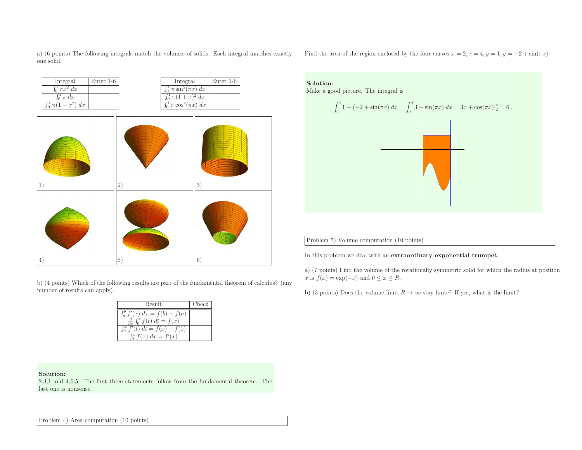a) (6 points) The following integrals match the volumes of solids. Each integral matches exactly one solid.



b) (4 points) Which of the following results are part of the fundamental theorem of calculus? (anynumber of results can apply).

| Result                                            | Check |
|---------------------------------------------------|-------|
| $\int_{a}^{b} f'(x) dx = f(b) - f(a)$             |       |
| $\frac{d}{dx} \int_0^x \overline{f(t)} dt = f(x)$ |       |
| $f'(t) dt = f(x) - f(0)$                          |       |
| $\int_0^x f(x) dx = \overline{f'(x)}$             |       |

Solution:

 2,3,1 and 4,6,5. The first three statements follow from the fundamental theorem. The last one is nonsense.

Find the area of the region enclosed by the four curves  $x = 2, x = 4, y = 1, y = -2 + \sin(\pi x)$ .



Problem 5) Volume computation (10 points)

In this problem we deal with an extraordinary exponential trumpet.

a) (7 points) Find the volume of the rotationally symmetric solid for which the radius at positionx is  $f(x) = \exp(-x)$  and  $0 \le x \le R$ .

b) (3 points) Does the volume limit  $R \to \infty$  stay finite? If yes, what is the limit?

Problem 4) Area computation (10 points)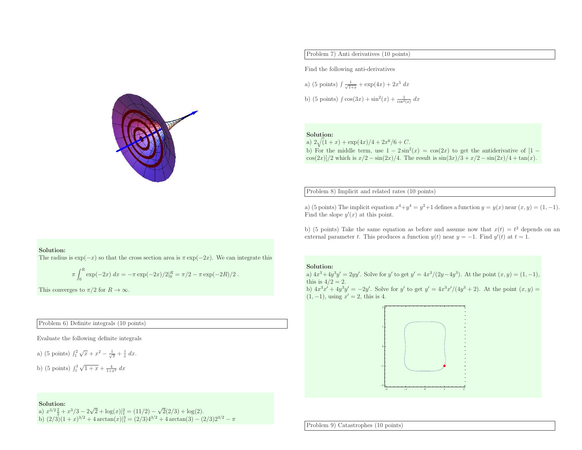

## Problem 7) Anti derivatives (10 points)

Find the following anti-derivatives

a) (5 points) 
$$
\int \frac{1}{\sqrt{1+x}} + \exp(4x) + 2x^5 dx
$$
  
b) (5 points)  $\int \cos(3x) + \sin^2(x) + \frac{1}{\cos^2(x)} dx$ 

#### Solution:

a)  $2\sqrt(1 +$ a)  $2\sqrt{(1+x) + \exp(4x)/4 + 2x^6/6 + C}$ .<br>b) For the middle term, use  $1 - 2\sin^2(4x)$ b) For the middle term, use  $1 - 2\sin^2(x) = \cos(2x)$  to get the antiderivative of  $[1 - \cos(2x)]/2$  which is  $x/2 - \sin(2x)/4$ . The result is  $\sin(3x)/3 + x/2 - \sin(2x)/4 + \tan(x)$ .  $\frac{\cos(2x)}{2 \sin(2x)}$  which is  $x/2 - \sin(2x)/4$ . The result is  $\sin(3x)/3 + x/2 - \sin(2x)/4 + \tan(x)$ .

Problem 8) Implicit and related rates (10 points)

a) (5 points) The implicit equation  $x^4 + y^4 = y^2 + 1$  defines a function  $y = y(x)$  near  $(x, y) = (1, -1)$ . Find the slope  $y'(x)$  at this point.

b) (5 points) Take the same equation as before and assume now that  $x(t) = t^2$  depends on an external parameter t. This produces a function  $y(t)$  near  $y = -1$ . Find  $y'(t)$  at  $t = 1$ .

### Solution:

The radius is  $\exp(-x)$  so that the cross section area is  $\pi \exp(-2x)$ . We can integrate this

$$
\pi \int_0^R \exp(-2x) \, dx = -\pi \exp(-2x)/2 \big|_0^R = \pi/2 - \pi \exp(-2R)/2 \; .
$$

This converges to  $\pi/2$  for  $R \to \infty$ .

Problem 6) Definite integrals (10 points)

Evaluate the following definite integrals

a) (5 points)  $\int_1^2 \sqrt{x} + x^2 - \frac{1}{\sqrt{x}} + \frac{1}{x} dx$ . b) (5 points)  $\int_1^3 \sqrt{1+x} + \frac{4}{1+x^2} dx$ 

#### Solution:

a)  $x^{3/2}\frac{2}{3} + x^3/3 - 2\sqrt{2} + \log(x)|_1^2 = (11/2) - \sqrt{2}(2/3) + \log(2)$ .<br>b)  $(2/3)(1+x)^{3/2} + 4\arctan(x)|_1^3 = (2/3)4^{3/2} + 4\arctan(3) - (2/3)2^{3/2} - \pi$ 

#### Solution:

a)  $4x^3 + 4y^3y' = 2yy'$ . Solve for y' to get  $y' = 4x^3/(2y-4y^3)$ . At the point  $(x, y) = (1, -1)$ , this is  $4/2 = 2$ . b)  $4x^3x' + 4y^3y' = -2y'$ . Solve for y' to get  $y' = 4x^3x'/(4y^3 + 2)$ . At the point  $(x, y) =$  $(1, -1)$ , using  $x' = 2$ , this is 4.



Problem 9) Catastrophes (10 points)